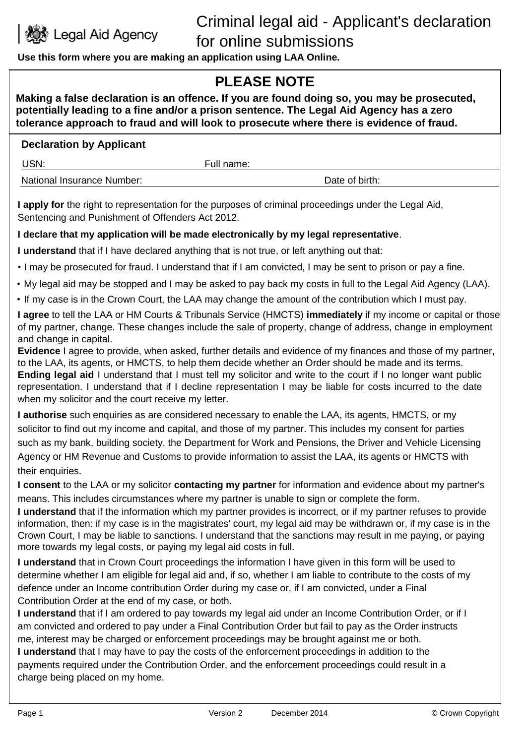

**Use this form where you are making an application using LAA Online.**

# **PLEASE NOTE**

**Making a false declaration is an offence. If you are found doing so, you may be prosecuted, potentially leading to a fine and/or a prison sentence. The Legal Aid Agency has a zero tolerance approach to fraud and will look to prosecute where there is evidence of fraud.**

| <b>Declaration by Applicant</b>                  |            |                                                                                                              |  |  |  |  |
|--------------------------------------------------|------------|--------------------------------------------------------------------------------------------------------------|--|--|--|--|
| USN:                                             | Full name: |                                                                                                              |  |  |  |  |
| National Insurance Number:                       |            | Date of birth:                                                                                               |  |  |  |  |
| Sentencing and Punishment of Offenders Act 2012. |            | <b>I apply for</b> the right to representation for the purposes of criminal proceedings under the Legal Aid, |  |  |  |  |

## **I declare that my application will be made electronically by my legal representative**.

**I understand** that if I have declared anything that is not true, or left anything out that:

• I may be prosecuted for fraud. I understand that if I am convicted, I may be sent to prison or pay a fine.

- My legal aid may be stopped and I may be asked to pay back my costs in full to the Legal Aid Agency (LAA).
- If my case is in the Crown Court, the LAA may change the amount of the contribution which I must pay.

**I agree** to tell the LAA or HM Courts & Tribunals Service (HMCTS) **immediately** if my income or capital or those of my partner, change. These changes include the sale of property, change of address, change in employment and change in capital.

**Evidence** I agree to provide, when asked, further details and evidence of my finances and those of my partner, to the LAA, its agents, or HMCTS, to help them decide whether an Order should be made and its terms. **Ending legal aid** I understand that I must tell my solicitor and write to the court if I no longer want public representation. I understand that if I decline representation I may be liable for costs incurred to the date when my solicitor and the court receive my letter.

**I authorise** such enquiries as are considered necessary to enable the LAA, its agents, HMCTS, or my solicitor to find out my income and capital, and those of my partner. This includes my consent for parties such as my bank, building society, the Department for Work and Pensions, the Driver and Vehicle Licensing Agency or HM Revenue and Customs to provide information to assist the LAA, its agents or HMCTS with their enquiries.

**I consent** to the LAA or my solicitor **contacting my partner** for information and evidence about my partner's means. This includes circumstances where my partner is unable to sign or complete the form.

**I understand** that if the information which my partner provides is incorrect, or if my partner refuses to provide information, then: if my case is in the magistrates' court, my legal aid may be withdrawn or, if my case is in the Crown Court, I may be liable to sanctions. I understand that the sanctions may result in me paying, or paying more towards my legal costs, or paying my legal aid costs in full.

**I understand** that in Crown Court proceedings the information I have given in this form will be used to determine whether I am eligible for legal aid and, if so, whether I am liable to contribute to the costs of my defence under an Income contribution Order during my case or, if I am convicted, under a Final Contribution Order at the end of my case, or both.

**I understand** that if I am ordered to pay towards my legal aid under an Income Contribution Order, or if I am convicted and ordered to pay under a Final Contribution Order but fail to pay as the Order instructs me, interest may be charged or enforcement proceedings may be brought against me or both.

**I understand** that I may have to pay the costs of the enforcement proceedings in addition to the payments required under the Contribution Order, and the enforcement proceedings could result in a charge being placed on my home.